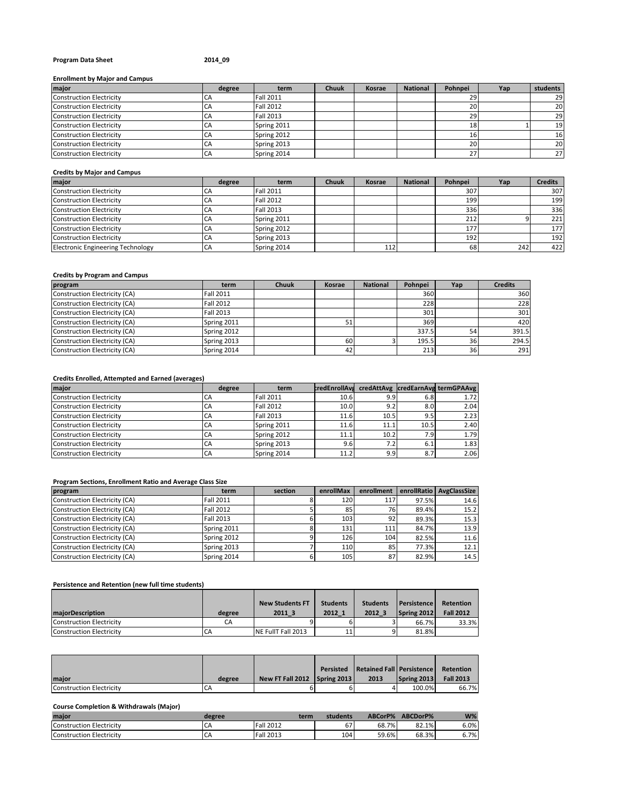# **Program Data Sheet 2014\_09**

# **Enrollment by Major and Campus**

| major                           | degree    | term             | <b>Chuuk</b> | Kosrae | <b>National</b> | Pohnpei   | Yap | students  |
|---------------------------------|-----------|------------------|--------------|--------|-----------------|-----------|-----|-----------|
| <b>Construction Electricity</b> | CA        | <b>Fall 2011</b> |              |        |                 | 29        |     | 29        |
| <b>Construction Electricity</b> | <b>CA</b> | <b>Fall 2012</b> |              |        |                 | <b>20</b> |     | <b>20</b> |
| <b>Construction Electricity</b> | <b>CA</b> | <b>Fall 2013</b> |              |        |                 | 29        |     | 29        |
| <b>Construction Electricity</b> | CA        | Spring 2011      |              |        |                 | 18        |     | 19        |
| <b>Construction Electricity</b> | <b>CA</b> | Spring 2012      |              |        |                 | тp.       |     | 16        |
| <b>Construction Electricity</b> | CA        | Spring 2013      |              |        |                 | 20        |     | <b>20</b> |
| <b>Construction Electricity</b> | CA        | Spring 2014      |              |        |                 | 27        |     | 27        |

# **Credits by Major and Campus**

| major                                    | degree     | term             | <b>Chuuk</b> | Kosrae | <b>National</b> | Pohnpei | Yap | <b>Credits</b> |
|------------------------------------------|------------|------------------|--------------|--------|-----------------|---------|-----|----------------|
| Construction Electricity                 | <b>C</b> P | <b>Fall 2011</b> |              |        |                 | 307     |     | 307            |
| Construction Electricity                 | CA         | <b>Fall 2012</b> |              |        |                 | 199     |     | 199            |
| Construction Electricity                 | CA         | <b>Fall 2013</b> |              |        |                 | 336     |     | 336            |
| Construction Electricity                 | <b>CA</b>  | Spring 2011      |              |        |                 | 212     |     | 221            |
| Construction Electricity                 | <b>CA</b>  | Spring 2012      |              |        |                 | 177     |     | 177            |
| Construction Electricity                 | <b>CA</b>  | Spring 2013      |              |        |                 | 192     |     | 192            |
| <b>Electronic Engineering Technology</b> | CA         | Spring 2014      |              | 112    |                 | 68      | 242 | 422            |

#### **Credits by Program and Campus**

| program                       | term             | <b>Chuuk</b> | Kosrae | <b>National</b> | Pohnpei | Yap | <b>Credits</b> |
|-------------------------------|------------------|--------------|--------|-----------------|---------|-----|----------------|
| Construction Electricity (CA) | <b>Fall 2011</b> |              |        |                 | 360     |     | 360            |
| Construction Electricity (CA) | <b>Fall 2012</b> |              |        |                 | 228     |     | 228            |
| Construction Electricity (CA) | <b>Fall 2013</b> |              |        |                 | 301     |     | 301            |
| Construction Electricity (CA) | Spring 2011      |              | 51     |                 | 369     |     | 420            |
| Construction Electricity (CA) | Spring 2012      |              |        |                 | 337.5   | 54  | 391.5          |
| Construction Electricity (CA) | Spring 2013      |              | 60     |                 | 195.5   | 36  | 294.5          |
| Construction Electricity (CA) | Spring 2014      |              | 42     |                 | 213     | 36  | 291            |

# **Credits Enrolled, Attempted and Earned (averages)**

| major                           | degree | term             |      |      |      | credEnrollAvs credAttAvg credEarnAvg termGPAAvg |
|---------------------------------|--------|------------------|------|------|------|-------------------------------------------------|
| <b>Construction Electricity</b> | CА     | <b>Fall 2011</b> | 10.6 | 9.9  | 6.8  | 1.72                                            |
| <b>Construction Electricity</b> | CA     | <b>Fall 2012</b> | 10.0 | 9.2  | 8.0  | 2.04                                            |
| <b>Construction Electricity</b> | CA     | <b>Fall 2013</b> | 11.6 | 10.5 | 9.5  | 2.23                                            |
| <b>Construction Electricity</b> | СA     | Spring 2011      | 11.6 | 11.1 | 10.5 | 2.40                                            |
| <b>Construction Electricity</b> | СA     | Spring 2012      | 11.1 | 10.2 | 7.9  | 1.79                                            |
| <b>Construction Electricity</b> | CA     | Spring 2013      | 9.6  | 7.2  | 6.1  | 1.83                                            |
| <b>Construction Electricity</b> | CA     | Spring 2014      | 11.2 | 9.91 | 8.7  | 2.06                                            |

# **Program Sections, Enrollment Ratio and Average Class Size**

| program                       | term             | section | enrollMax | enrollment |       | enrollRatio AvgClassSize |
|-------------------------------|------------------|---------|-----------|------------|-------|--------------------------|
| Construction Electricity (CA) | Fall 2011        |         | 120       | 117        | 97.5% | 14.6                     |
| Construction Electricity (CA) | <b>Fall 2012</b> |         | 85        | 76I        | 89.4% | 15.2                     |
| Construction Electricity (CA) | <b>Fall 2013</b> |         | 103       | 92         | 89.3% | 15.3                     |
| Construction Electricity (CA) | Spring 2011      |         | 131       | 111        | 84.7% | 13.9                     |
| Construction Electricity (CA) | Spring 2012      |         | 126       | 104        | 82.5% | 11.6                     |
| Construction Electricity (CA) | Spring 2013      |         | 110       | 85         | 77.3% | 12.1                     |
| Construction Electricity (CA) | Spring 2014      |         | 105       | 87         | 82.9% | 14.5                     |

# **Persistence and Retention (new full time students)**

|                          |        | <b>New Students FT</b> | <b>Students</b> | <b>Students</b> | <b>Persistence</b> | Retention        |
|--------------------------|--------|------------------------|-----------------|-----------------|--------------------|------------------|
| <b>maiorDescription</b>  | degree | 2011 3                 | 2012 1          | 2012 3          | Spring 2012        | <b>Fall 2012</b> |
| Construction Electricity |        |                        |                 |                 | 66.7%              | 33.3%            |
| Construction Electricity |        | NE FullT Fall 2013     | 11              |                 | 81.8%              |                  |

|                          |        |                              | <b>Persisted Retained Fall Persistence</b> |             | Retention        |
|--------------------------|--------|------------------------------|--------------------------------------------|-------------|------------------|
| <b>Imaior</b>            | degree | New FT Fall 2012 Spring 2013 | 2013                                       | Spring 2013 | <b>Fall 2013</b> |
| Construction Electricity | CΑ     |                              |                                            | 100.0%      | 66.7%            |

#### **Course Completion & Withdrawals (Major)**

| maior                    | degree | term             | students | ABCorP% | ABCDorP% | $W\%$ |
|--------------------------|--------|------------------|----------|---------|----------|-------|
| Construction Electricity | .CA    | <b>Fall 2012</b> | 67       | 68.7%   | 82.1%    | 6.0%  |
| Construction Electricity | ı CA   | <b>Fall 2013</b> | 104      | 59.6%   | 68.3%    | 6.7%  |